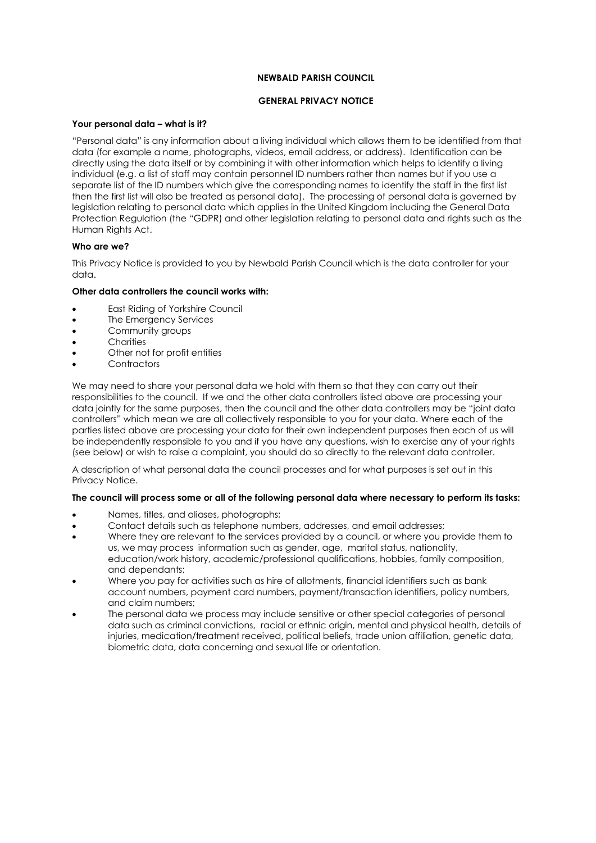### **NEWBALD PARISH COUNCIL**

## **GENERAL PRIVACY NOTICE**

### **Your personal data – what is it?**

"Personal data" is any information about a living individual which allows them to be identified from that data (for example a name, photographs, videos, email address, or address). Identification can be directly using the data itself or by combining it with other information which helps to identify a living individual (e.g. a list of staff may contain personnel ID numbers rather than names but if you use a separate list of the ID numbers which give the corresponding names to identify the staff in the first list then the first list will also be treated as personal data). The processing of personal data is governed by legislation relating to personal data which applies in the United Kingdom including the General Data Protection Regulation (the "GDPR) and other legislation relating to personal data and rights such as the Human Rights Act.

## **Who are we?**

This Privacy Notice is provided to you by Newbald Parish Council which is the data controller for your data.

## **Other data controllers the council works with:**

- East Riding of Yorkshire Council
- The Emergency Services
- Community groups
- Charities
- Other not for profit entities
- **Contractors**

We may need to share your personal data we hold with them so that they can carry out their responsibilities to the council. If we and the other data controllers listed above are processing your data jointly for the same purposes, then the council and the other data controllers may be "joint data controllers" which mean we are all collectively responsible to you for your data. Where each of the parties listed above are processing your data for their own independent purposes then each of us will be independently responsible to you and if you have any questions, wish to exercise any of your rights (see below) or wish to raise a complaint, you should do so directly to the relevant data controller.

A description of what personal data the council processes and for what purposes is set out in this Privacy Notice.

#### **The council will process some or all of the following personal data where necessary to perform its tasks:**

- Names, titles, and aliases, photographs;
- Contact details such as telephone numbers, addresses, and email addresses;
- Where they are relevant to the services provided by a council, or where you provide them to us, we may process information such as gender, age, marital status, nationality, education/work history, academic/professional qualifications, hobbies, family composition, and dependants;
- Where you pay for activities such as hire of allotments, financial identifiers such as bank account numbers, payment card numbers, payment/transaction identifiers, policy numbers, and claim numbers;
- The personal data we process may include sensitive or other special categories of personal data such as criminal convictions, racial or ethnic origin, mental and physical health, details of injuries, medication/treatment received, political beliefs, trade union affiliation, genetic data, biometric data, data concerning and sexual life or orientation.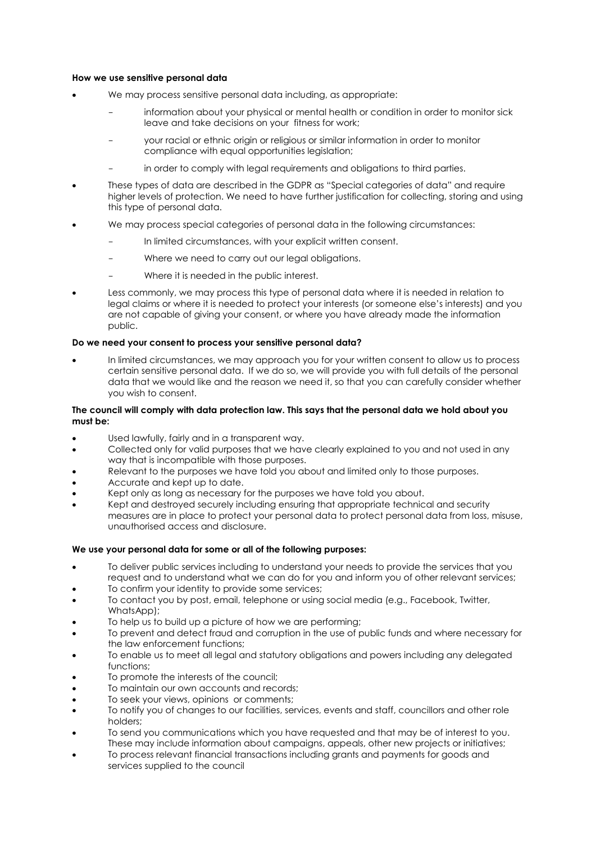#### **How we use sensitive personal data**

- We may process sensitive personal data including, as appropriate:
	- information about your physical or mental health or condition in order to monitor sick leave and take decisions on your fitness for work;
	- your racial or ethnic origin or religious or similar information in order to monitor compliance with equal opportunities legislation;
	- in order to comply with legal requirements and obligations to third parties.
- These types of data are described in the GDPR as "Special categories of data" and require higher levels of protection. We need to have further justification for collecting, storing and using this type of personal data.
- We may process special categories of personal data in the following circumstances:
	- In limited circumstances, with your explicit written consent.
	- Where we need to carry out our legal obligations.
	- Where it is needed in the public interest.
- Less commonly, we may process this type of personal data where it is needed in relation to legal claims or where it is needed to protect your interests (or someone else's interests) and you are not capable of giving your consent, or where you have already made the information public.

#### **Do we need your consent to process your sensitive personal data?**

 In limited circumstances, we may approach you for your written consent to allow us to process certain sensitive personal data. If we do so, we will provide you with full details of the personal data that we would like and the reason we need it, so that you can carefully consider whether you wish to consent.

#### **The council will comply with data protection law. This says that the personal data we hold about you must be:**

- Used lawfully, fairly and in a transparent way.
- Collected only for valid purposes that we have clearly explained to you and not used in any way that is incompatible with those purposes.
- Relevant to the purposes we have told you about and limited only to those purposes.
- Accurate and kept up to date.
- Kept only as long as necessary for the purposes we have told you about.
- Kept and destroyed securely including ensuring that appropriate technical and security measures are in place to protect your personal data to protect personal data from loss, misuse, unauthorised access and disclosure.

#### **We use your personal data for some or all of the following purposes:**

- To deliver public services including to understand your needs to provide the services that you request and to understand what we can do for you and inform you of other relevant services;
- To confirm your identity to provide some services;
- To contact you by post, email, telephone or using social media (e.g., Facebook, Twitter, WhatsApp);
- To help us to build up a picture of how we are performing;
- To prevent and detect fraud and corruption in the use of public funds and where necessary for the law enforcement functions;
- To enable us to meet all legal and statutory obligations and powers including any delegated functions;
- To promote the interests of the council;
- To maintain our own accounts and records;
- To seek your views, opinions or comments;
- To notify you of changes to our facilities, services, events and staff, councillors and other role holders;
- To send you communications which you have requested and that may be of interest to you. These may include information about campaigns, appeals, other new projects or initiatives;
- To process relevant financial transactions including grants and payments for goods and services supplied to the council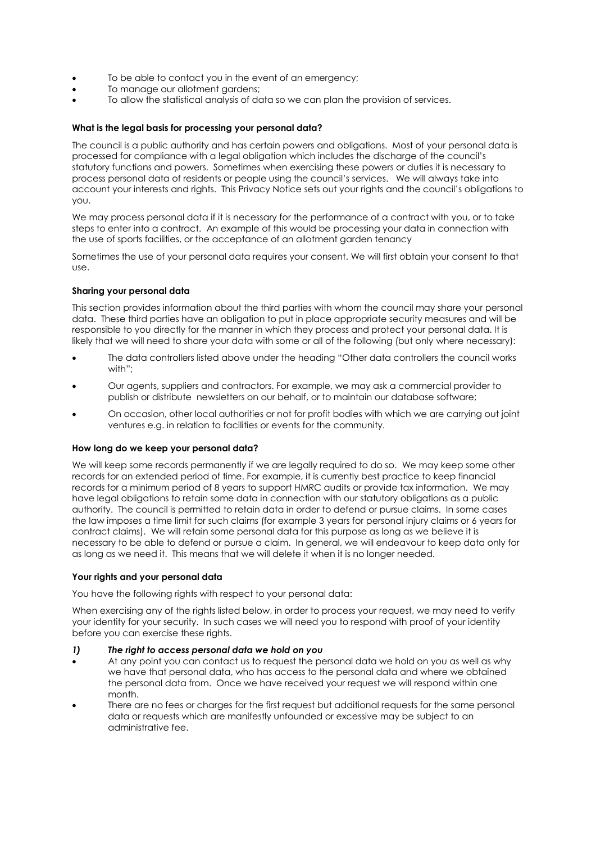- To be able to contact you in the event of an emergency;
- To manage our allotment gardens;
- To allow the statistical analysis of data so we can plan the provision of services.

### **What is the legal basis for processing your personal data?**

The council is a public authority and has certain powers and obligations. Most of your personal data is processed for compliance with a legal obligation which includes the discharge of the council's statutory functions and powers. Sometimes when exercising these powers or duties it is necessary to process personal data of residents or people using the council's services. We will always take into account your interests and rights. This Privacy Notice sets out your rights and the council's obligations to you.

We may process personal data if it is necessary for the performance of a contract with you, or to take steps to enter into a contract. An example of this would be processing your data in connection with the use of sports facilities, or the acceptance of an allotment garden tenancy

Sometimes the use of your personal data requires your consent. We will first obtain your consent to that use.

#### **Sharing your personal data**

This section provides information about the third parties with whom the council may share your personal data. These third parties have an obligation to put in place appropriate security measures and will be responsible to you directly for the manner in which they process and protect your personal data. It is likely that we will need to share your data with some or all of the following (but only where necessary):

- The data controllers listed above under the heading "Other data controllers the council works with"<sup>\*</sup>
- Our agents, suppliers and contractors. For example, we may ask a commercial provider to publish or distribute newsletters on our behalf, or to maintain our database software;
- On occasion, other local authorities or not for profit bodies with which we are carrying out joint ventures e.g. in relation to facilities or events for the community.

#### **How long do we keep your personal data?**

We will keep some records permanently if we are legally required to do so. We may keep some other records for an extended period of time. For example, it is currently best practice to keep financial records for a minimum period of 8 years to support HMRC audits or provide tax information. We may have legal obligations to retain some data in connection with our statutory obligations as a public authority. The council is permitted to retain data in order to defend or pursue claims. In some cases the law imposes a time limit for such claims (for example 3 years for personal injury claims or 6 years for contract claims). We will retain some personal data for this purpose as long as we believe it is necessary to be able to defend or pursue a claim. In general, we will endeavour to keep data only for as long as we need it. This means that we will delete it when it is no longer needed.

#### **Your rights and your personal data**

You have the following rights with respect to your personal data:

When exercising any of the rights listed below, in order to process your request, we may need to verify your identity for your security. In such cases we will need you to respond with proof of your identity before you can exercise these rights.

- *1) The right to access personal data we hold on you*
- At any point you can contact us to request the personal data we hold on you as well as why we have that personal data, who has access to the personal data and where we obtained the personal data from. Once we have received your request we will respond within one month.
- There are no fees or charges for the first request but additional requests for the same personal data or requests which are manifestly unfounded or excessive may be subject to an administrative fee.